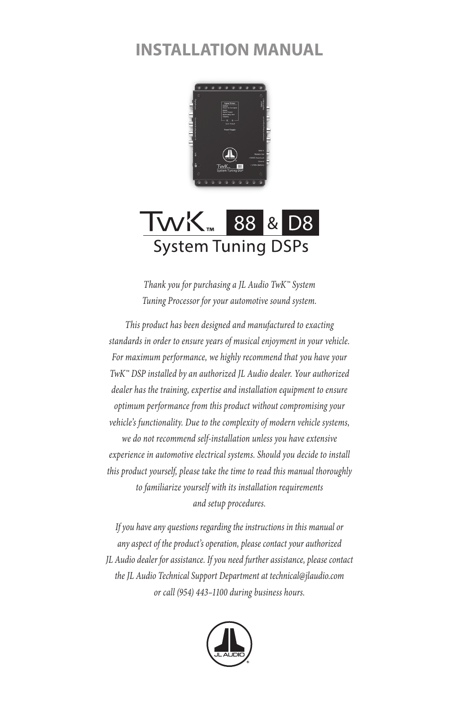# **INSTALLATION MANUAL**



## TWK<sub>™</sub> 88 & D<sub>8</sub> **System Tuning DSPs**

*Thank you for purchasing a JL Audio TwK™ System Tuning Processor for your automotive sound system.* 

*This product has been designed and manufactured to exacting standards in order to ensure years of musical enjoyment in your vehicle. For maximum performance, we highly recommend that you have your TwK™ DSP installed by an authorized JL Audio dealer. Your authorized dealer has the training, expertise and installation equipment to ensure optimum performance from this product without compromising your vehicle's functionality. Due to the complexity of modern vehicle systems, we do not recommend self-installation unless you have extensive experience in automotive electrical systems. Should you decide to install this product yourself, please take the time to read this manual thoroughly to familiarize yourself with its installation requirements and setup procedures.*

*If you have any questions regarding the instructions in this manual or any aspect of the product's operation, please contact your authorized JL Audio dealer for assistance. If you need further assistance, please contact the JL Audio Technical Support Department at technical@jlaudio.com or call (954) 443–1100 during business hours.*

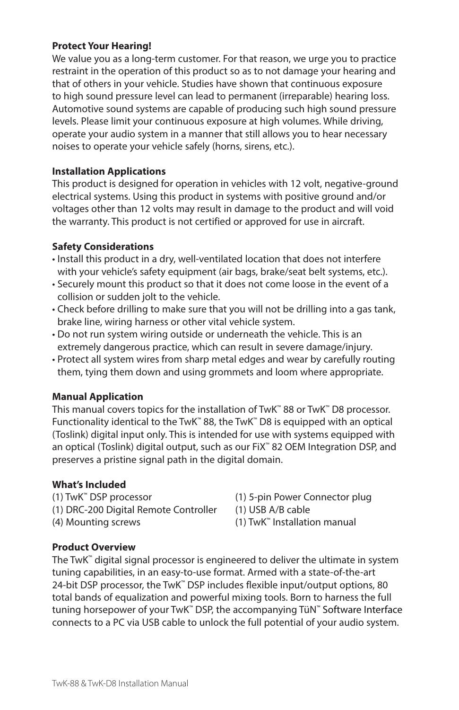#### **Protect Your Hearing!**

We value you as a long-term customer. For that reason, we urge you to practice restraint in the operation of this product so as to not damage your hearing and that of others in your vehicle. Studies have shown that continuous exposure to high sound pressure level can lead to permanent (irreparable) hearing loss. Automotive sound systems are capable of producing such high sound pressure levels. Please limit your continuous exposure at high volumes. While driving, operate your audio system in a manner that still allows you to hear necessary noises to operate your vehicle safely (horns, sirens, etc.).

#### **Installation Applications**

This product is designed for operation in vehicles with 12 volt, negative-ground electrical systems. Using this product in systems with positive ground and/or voltages other than 12 volts may result in damage to the product and will void the warranty. This product is not certified or approved for use in aircraft.

#### **Safety Considerations**

- Install this product in a dry, well-ventilated location that does not interfere with your vehicle's safety equipment (air bags, brake/seat belt systems, etc.).
- Securely mount this product so that it does not come loose in the event of a collision or sudden jolt to the vehicle.
- Check before drilling to make sure that you will not be drilling into a gas tank, brake line, wiring harness or other vital vehicle system.
- Do not run system wiring outside or underneath the vehicle. This is an extremely dangerous practice, which can result in severe damage/injury.
- Protect all system wires from sharp metal edges and wear by carefully routing them, tying them down and using grommets and loom where appropriate.

#### **Manual Application**

This manual covers topics for the installation of TwK™ 88 or TwK™ D8 processor. Functionality identical to the TwK™ 88, the TwK™ D8 is equipped with an optical (Toslink) digital input only. This is intended for use with systems equipped with an optical (Toslink) digital output, such as our FiX™ 82 OEM Integration DSP, and preserves a pristine signal path in the digital domain.

#### **What's Included**

(1) TwK™ DSP processor (1) 5-pin Power Connector plug

(1) DRC-200 Digital Remote Controller (1) USB A/B cable

- 
- 
- (4) Mounting screws (1) TwK™ Installation manual

#### **Product Overview**

The TwK™ digital signal processor is engineered to deliver the ultimate in system tuning capabilities, in an easy-to-use format. Armed with a state-of-the-art 24-bit DSP processor, the TwK™ DSP includes flexible input/output options, 80 total bands of equalization and powerful mixing tools. Born to harness the full tuning horsepower of your TwK<sup>™</sup> DSP, the accompanying TüN<sup>™</sup> Software Interface connects to a PC via USB cable to unlock the full potential of your audio system.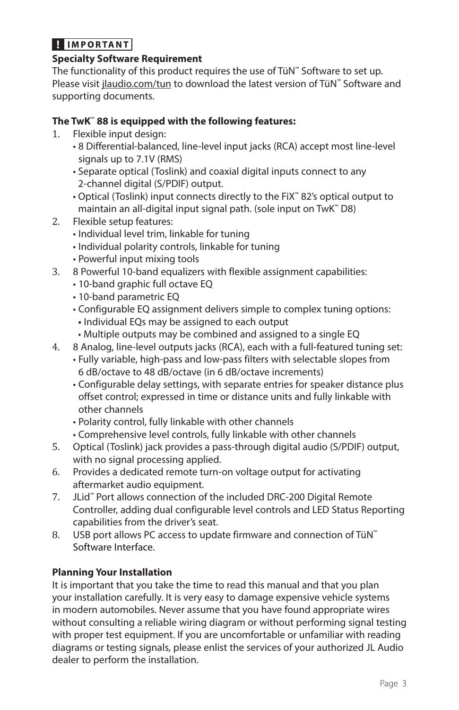## **HIMPORTANT**

## **Specialty Software Requirement**

The functionality of this product requires the use of TüN™ Software to set up. Please visit jlaudio.com/tun to download the latest version of TüN™ Software and supporting documents.

## **The TwK**™ **88 is equipped with the following features:**

- 1. Flexible input design:
	- 8 Differential-balanced, line-level input jacks (RCA) accept most line-level signals up to 7.1V (RMS)
	- Separate optical (Toslink) and coaxial digital inputs connect to any 2-channel digital (S/PDIF) output.
	- Optical (Toslink) input connects directly to the FiX™ 82's optical output to maintain an all-digital input signal path. (sole input on TwK™ D8)
- 2. Flexible setup features:
	- Individual level trim, linkable for tuning
	- Individual polarity controls, linkable for tuning
	- Powerful input mixing tools
- 3. 8 Powerful 10-band equalizers with flexible assignment capabilities:
	- 10-band graphic full octave EQ
	- 10-band parametric EQ
	- Configurable EQ assignment delivers simple to complex tuning options:
		- Individual EQs may be assigned to each output
		- Multiple outputs may be combined and assigned to a single EQ
- 4. 8 Analog, line-level outputs jacks (RCA), each with a full-featured tuning set:
	- Fully variable, high-pass and low-pass filters with selectable slopes from 6 dB/octave to 48 dB/octave (in 6 dB/octave increments)
	- Configurable delay settings, with separate entries for speaker distance plus offset control; expressed in time or distance units and fully linkable with other channels
	- Polarity control, fully linkable with other channels
	- Comprehensive level controls, fully linkable with other channels
- 5. Optical (Toslink) jack provides a pass-through digital audio (S/PDIF) output, with no signal processing applied.
- 6. Provides a dedicated remote turn-on voltage output for activating aftermarket audio equipment.
- 7. JLid™ Port allows connection of the included DRC-200 Digital Remote Controller, adding dual configurable level controls and LED Status Reporting capabilities from the driver's seat.
- 8. USB port allows PC access to update firmware and connection of TüN<sup>™</sup> Software Interface.

## **Planning Your Installation**

It is important that you take the time to read this manual and that you plan your installation carefully. It is very easy to damage expensive vehicle systems in modern automobiles. Never assume that you have found appropriate wires without consulting a reliable wiring diagram or without performing signal testing with proper test equipment. If you are uncomfortable or unfamiliar with reading diagrams or testing signals, please enlist the services of your authorized JL Audio dealer to perform the installation.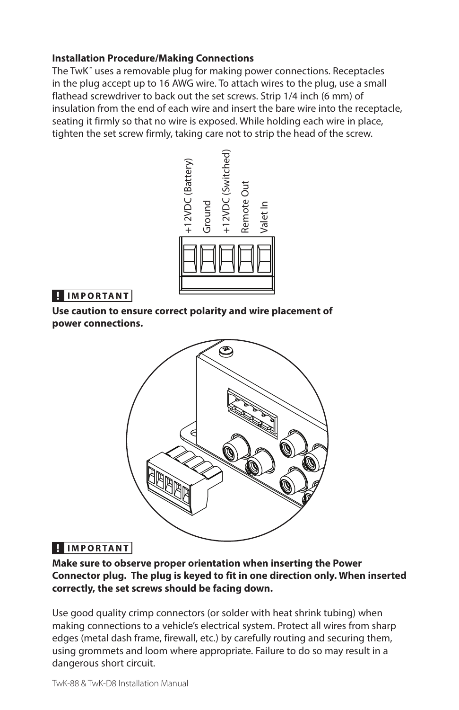#### **Installation Procedure/Making Connections**

The TwK<sup>™</sup> uses a removable plug for making power connections. Receptacles in the plug accept up to 16 AWG wire. To attach wires to the plug, use a small flathead screwdriver to back out the set screws. Strip 1/4 inch (6 mm) of insulation from the end of each wire and insert the bare wire into the receptacle, seating it firmly so that no wire is exposed. While holding each wire in place, tighten the set screw firmly, taking care not to strip the head of the screw.



## **HIMPORTANT**

**Use caution to ensure correct polarity and wire placement of power connections.** 



## **U** IMPORTANT

**Make sure to observe proper orientation when inserting the Power Connector plug. The plug is keyed to fit in one direction only. When inserted correctly, the set screws should be facing down.**

Use good quality crimp connectors (or solder with heat shrink tubing) when making connections to a vehicle's electrical system. Protect all wires from sharp edges (metal dash frame, firewall, etc.) by carefully routing and securing them, using grommets and loom where appropriate. Failure to do so may result in a dangerous short circuit.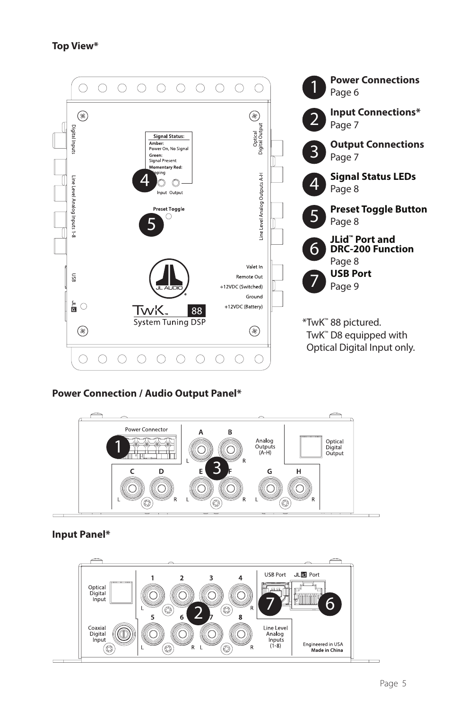

#### **Power Connection / Audio Output Panel\***



#### **Input Panel\***

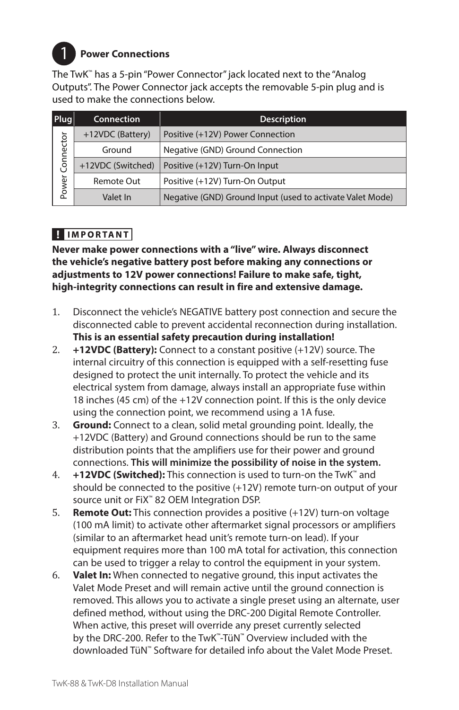

## 1 **Power Connections**

The TwK™ has a 5-pin "Power Connector" jack located next to the "Analog Outputs". The Power Connector jack accepts the removable 5-pin plug and is used to make the connections below.

| Plug               | <b>Connection</b> | <b>Description</b>                                        |
|--------------------|-------------------|-----------------------------------------------------------|
| Connector<br>Power | +12VDC (Battery)  | Positive (+12V) Power Connection                          |
|                    | Ground            | Negative (GND) Ground Connection                          |
|                    | +12VDC (Switched) | Positive (+12V) Turn-On Input                             |
|                    | Remote Out        | Positive (+12V) Turn-On Output                            |
|                    | Valet In          | Negative (GND) Ground Input (used to activate Valet Mode) |

## **HIMPORTANT**

**Never make power connections with a "live" wire. Always disconnect the vehicle's negative battery post before making any connections or adjustments to 12V power connections! Failure to make safe, tight, high-integrity connections can result in fire and extensive damage.**

- 1. Disconnect the vehicle's NEGATIVE battery post connection and secure the disconnected cable to prevent accidental reconnection during installation. **This is an essential safety precaution during installation!**
- 2. **+12VDC (Battery):** Connect to a constant positive (+12V) source. The internal circuitry of this connection is equipped with a self-resetting fuse designed to protect the unit internally. To protect the vehicle and its electrical system from damage, always install an appropriate fuse within 18 inches (45 cm) of the +12V connection point. If this is the only device using the connection point, we recommend using a 1A fuse.
- 3. **Ground:** Connect to a clean, solid metal grounding point. Ideally, the +12VDC (Battery) and Ground connections should be run to the same distribution points that the amplifiers use for their power and ground connections. **This will minimize the possibility of noise in the system.**
- 4. **+12VDC (Switched):** This connection is used to turn-on the TwK™ and should be connected to the positive (+12V) remote turn-on output of your source unit or FiX™ 82 OEM Integration DSP.
- 5. **Remote Out:** This connection provides a positive (+12V) turn-on voltage (100 mA limit) to activate other aftermarket signal processors or amplifiers (similar to an aftermarket head unit's remote turn-on lead). If your equipment requires more than 100 mA total for activation, this connection can be used to trigger a relay to control the equipment in your system.
- 6. **Valet In:** When connected to negative ground, this input activates the Valet Mode Preset and will remain active until the ground connection is removed. This allows you to activate a single preset using an alternate, user defined method, without using the DRC-200 Digital Remote Controller. When active, this preset will override any preset currently selected by the DRC-200. Refer to the TwK™-TüN™ Overview included with the downloaded TüN™ Software for detailed info about the Valet Mode Preset.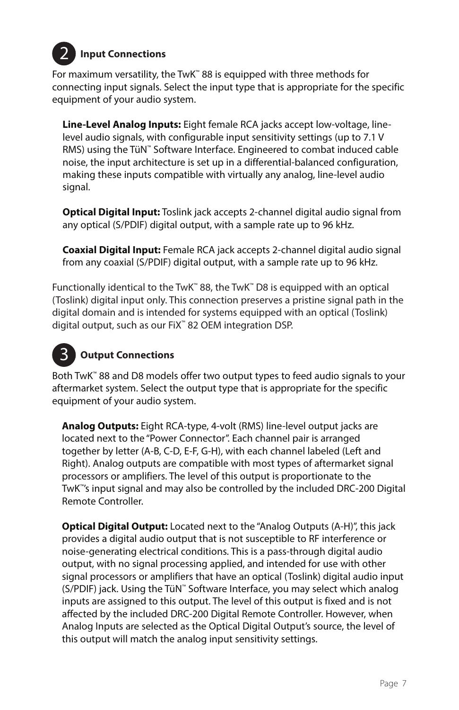

## 2 **Input Connections**

For maximum versatility, the TwK™ 88 is equipped with three methods for connecting input signals. Select the input type that is appropriate for the specific equipment of your audio system.

**Line-Level Analog Inputs:** Eight female RCA jacks accept low-voltage, linelevel audio signals, with configurable input sensitivity settings (up to 7.1 V RMS) using the TüN™ Software Interface. Engineered to combat induced cable noise, the input architecture is set up in a differential-balanced configuration, making these inputs compatible with virtually any analog, line-level audio signal.

**Optical Digital Input:** Toslink jack accepts 2-channel digital audio signal from any optical (S/PDIF) digital output, with a sample rate up to 96 kHz.

**Coaxial Digital Input:** Female RCA jack accepts 2-channel digital audio signal from any coaxial (S/PDIF) digital output, with a sample rate up to 96 kHz.

Functionally identical to the TwK™ 88, the TwK™ D8 is equipped with an optical (Toslink) digital input only. This connection preserves a pristine signal path in the digital domain and is intended for systems equipped with an optical (Toslink) digital output, such as our FiX™ 82 OEM integration DSP.

# 3

## **Output Connections**

Both TwK™ 88 and D8 models offer two output types to feed audio signals to your aftermarket system. Select the output type that is appropriate for the specific equipment of your audio system.

**Analog Outputs:** Eight RCA-type, 4-volt (RMS) line-level output jacks are located next to the "Power Connector". Each channel pair is arranged together by letter (A-B, C-D, E-F, G-H), with each channel labeled (Left and Right). Analog outputs are compatible with most types of aftermarket signal processors or amplifiers. The level of this output is proportionate to the TwK™'s input signal and may also be controlled by the included DRC-200 Digital Remote Controller.

**Optical Digital Output:** Located next to the "Analog Outputs (A-H)", this jack provides a digital audio output that is not susceptible to RF interference or noise-generating electrical conditions. This is a pass-through digital audio output, with no signal processing applied, and intended for use with other signal processors or amplifiers that have an optical (Toslink) digital audio input (S/PDIF) jack. Using the TüN™ Software Interface, you may select which analog inputs are assigned to this output. The level of this output is fixed and is not affected by the included DRC-200 Digital Remote Controller. However, when Analog Inputs are selected as the Optical Digital Output's source, the level of this output will match the analog input sensitivity settings.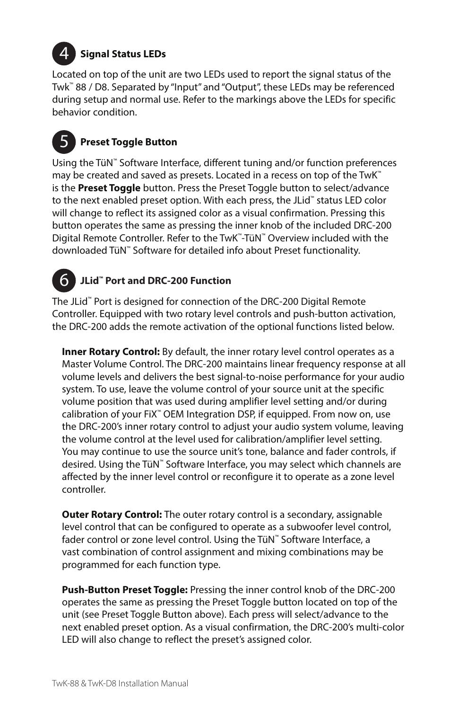

## 4 **Signal Status LEDs**

Located on top of the unit are two LEDs used to report the signal status of the Twk™ 88 / D8. Separated by "Input" and "Output", these LEDs may be referenced during setup and normal use. Refer to the markings above the LEDs for specific behavior condition.

# 5 **Preset Toggle Button**

Using the TüN™ Software Interface, different tuning and/or function preferences may be created and saved as presets. Located in a recess on top of the TwK<sup>™</sup> is the **Preset Toggle** button. Press the Preset Toggle button to select/advance to the next enabled preset option. With each press, the JLid™ status LED color will change to reflect its assigned color as a visual confirmation. Pressing this button operates the same as pressing the inner knob of the included DRC-200 Digital Remote Controller. Refer to the TwK™-TüN™ Overview included with the downloaded TüN™ Software for detailed info about Preset functionality.

#### 6 **JLid™ Port and DRC-200 Function**

The JLid™ Port is designed for connection of the DRC-200 Digital Remote Controller. Equipped with two rotary level controls and push-button activation, the DRC-200 adds the remote activation of the optional functions listed below.

**Inner Rotary Control:** By default, the inner rotary level control operates as a Master Volume Control. The DRC-200 maintains linear frequency response at all volume levels and delivers the best signal-to-noise performance for your audio system. To use, leave the volume control of your source unit at the specific volume position that was used during amplifier level setting and/or during calibration of your FiX™ OEM Integration DSP, if equipped. From now on, use the DRC-200's inner rotary control to adjust your audio system volume, leaving the volume control at the level used for calibration/amplifier level setting. You may continue to use the source unit's tone, balance and fader controls, if desired. Using the TüN™ Software Interface, you may select which channels are affected by the inner level control or reconfigure it to operate as a zone level controller.

**Outer Rotary Control:** The outer rotary control is a secondary, assignable level control that can be configured to operate as a subwoofer level control, fader control or zone level control. Using the TüN™ Software Interface, a vast combination of control assignment and mixing combinations may be programmed for each function type.

**Push-Button Preset Toggle:** Pressing the inner control knob of the DRC-200 operates the same as pressing the Preset Toggle button located on top of the unit (see Preset Toggle Button above). Each press will select/advance to the next enabled preset option. As a visual confirmation, the DRC-200's multi-color LED will also change to reflect the preset's assigned color.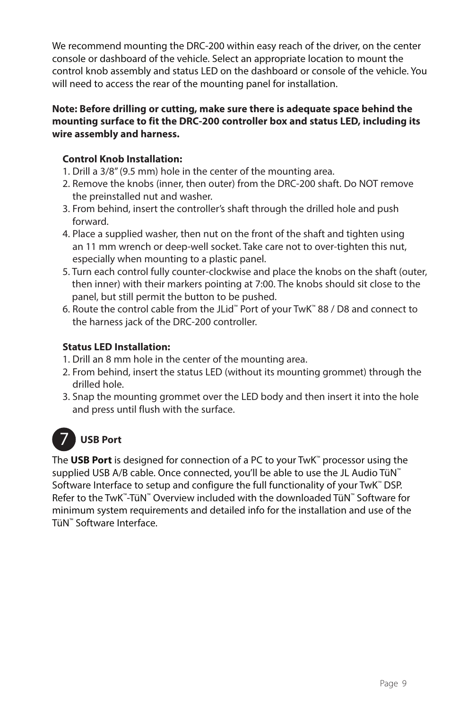We recommend mounting the DRC-200 within easy reach of the driver, on the center console or dashboard of the vehicle. Select an appropriate location to mount the control knob assembly and status LED on the dashboard or console of the vehicle. You will need to access the rear of the mounting panel for installation.

#### **Note: Before drilling or cutting, make sure there is adequate space behind the mounting surface to fit the DRC-200 controller box and status LED, including its wire assembly and harness.**

## **Control Knob Installation:**

- 1. Drill a 3/8" (9.5 mm) hole in the center of the mounting area.
- 2. Remove the knobs (inner, then outer) from the DRC-200 shaft. Do NOT remove the preinstalled nut and washer.
- 3. From behind, insert the controller's shaft through the drilled hole and push forward.
- 4. Place a supplied washer, then nut on the front of the shaft and tighten using an 11 mm wrench or deep-well socket. Take care not to over-tighten this nut, especially when mounting to a plastic panel.
- 5. Turn each control fully counter-clockwise and place the knobs on the shaft (outer, then inner) with their markers pointing at 7:00. The knobs should sit close to the panel, but still permit the button to be pushed.
- 6. Route the control cable from the JLid™ Port of your TwK™ 88 / D8 and connect to the harness jack of the DRC-200 controller.

## **Status LED Installation:**

- 1. Drill an 8 mm hole in the center of the mounting area.
- 2. From behind, insert the status LED (without its mounting grommet) through the drilled hole.
- 3. Snap the mounting grommet over the LED body and then insert it into the hole and press until flush with the surface.

## 7 **USB Port**

The **USB Port** is designed for connection of a PC to your TwK™ processor using the supplied USB A/B cable. Once connected, you'll be able to use the JL Audio TüN™ Software Interface to setup and configure the full functionality of your TwK™ DSP. Refer to the TwK™-TüN™ Overview included with the downloaded TüN™ Software for minimum system requirements and detailed info for the installation and use of the TüN™ Software Interface.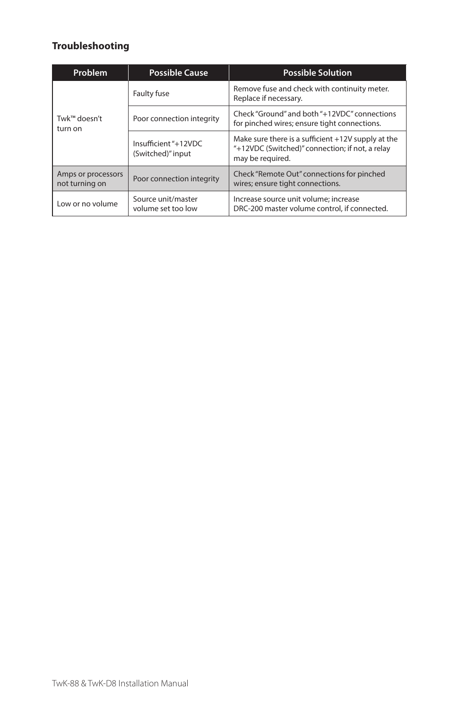## **Troubleshooting**

| <b>Problem</b>                                                    | <b>Possible Cause</b>                     | <b>Possible Solution</b>                                                                                                    |
|-------------------------------------------------------------------|-------------------------------------------|-----------------------------------------------------------------------------------------------------------------------------|
|                                                                   | Faulty fuse                               | Remove fuse and check with continuity meter.<br>Replace if necessary.                                                       |
| Twk™ doesn't<br>turn on                                           | Poor connection integrity                 | Check "Ground" and both "+12VDC" connections<br>for pinched wires; ensure tight connections.                                |
|                                                                   | Insufficient "+12VDC<br>(Switched)" input | Make sure there is a sufficient $+12V$ supply at the<br>"+12VDC (Switched)" connection; if not, a relay<br>may be required. |
| Amps or processors<br>Poor connection integrity<br>not turning on |                                           | Check "Remote Out" connections for pinched<br>wires; ensure tight connections.                                              |
| Source unit/master<br>Low or no volume<br>volume set too low      |                                           | Increase source unit volume; increase<br>DRC-200 master volume control, if connected.                                       |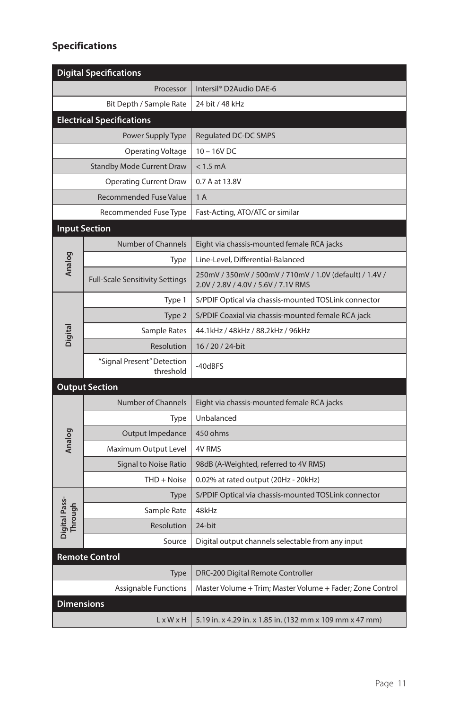## **Specifications**

| <b>Digital Specifications</b> |                                         |                                                                                                 |  |  |
|-------------------------------|-----------------------------------------|-------------------------------------------------------------------------------------------------|--|--|
|                               | Processor                               | Intersil <sup>®</sup> D2Audio DAE-6                                                             |  |  |
|                               | Bit Depth / Sample Rate                 | 24 bit / 48 kHz                                                                                 |  |  |
|                               | <b>Electrical Specifications</b>        |                                                                                                 |  |  |
|                               | Power Supply Type                       | Regulated DC-DC SMPS                                                                            |  |  |
| Operating Voltage             |                                         | $10 - 16V$ DC                                                                                   |  |  |
|                               | <b>Standby Mode Current Draw</b>        | $< 1.5$ mA                                                                                      |  |  |
| <b>Operating Current Draw</b> |                                         | 0.7 A at 13.8V                                                                                  |  |  |
| <b>Recommended Fuse Value</b> |                                         | 1A                                                                                              |  |  |
| Recommended Fuse Type         |                                         | Fast-Acting, ATO/ATC or similar                                                                 |  |  |
|                               | <b>Input Section</b>                    |                                                                                                 |  |  |
| Analog                        | <b>Number of Channels</b>               | Eight via chassis-mounted female RCA jacks                                                      |  |  |
|                               | Type                                    | Line-Level, Differential-Balanced                                                               |  |  |
|                               | <b>Full-Scale Sensitivity Settings</b>  | 250mV / 350mV / 500mV / 710mV / 1.0V (default) / 1.4V /<br>2.0V / 2.8V / 4.0V / 5.6V / 7.1V RMS |  |  |
|                               | Type 1                                  | S/PDIF Optical via chassis-mounted TOSLink connector                                            |  |  |
|                               | Type 2                                  | S/PDIF Coaxial via chassis-mounted female RCA jack                                              |  |  |
| <b>Digital</b>                | Sample Rates                            | 44.1kHz / 48kHz / 88.2kHz / 96kHz                                                               |  |  |
|                               | Resolution                              | 16 / 20 / 24-bit                                                                                |  |  |
|                               | "Signal Present" Detection<br>threshold | -40dBFS                                                                                         |  |  |
| <b>Output Section</b>         |                                         |                                                                                                 |  |  |
|                               | <b>Number of Channels</b>               | Eight via chassis-mounted female RCA jacks                                                      |  |  |
|                               | Type                                    | Unbalanced                                                                                      |  |  |
| Analog                        | Output Impedance                        | 450 ohms                                                                                        |  |  |
|                               | Maximum Output Level                    | <b>4V RMS</b>                                                                                   |  |  |
|                               | <b>Signal to Noise Ratio</b>            | 98dB (A-Weighted, referred to 4V RMS)                                                           |  |  |
|                               | $THD + Noise$                           | 0.02% at rated output (20Hz - 20kHz)                                                            |  |  |
|                               | Type                                    | S/PDIF Optical via chassis-mounted TOSLink connector                                            |  |  |
|                               | Sample Rate                             | 48kHz                                                                                           |  |  |
| Digital Pass-<br>Through      | <b>Resolution</b>                       | 24-bit                                                                                          |  |  |
|                               | Source                                  | Digital output channels selectable from any input                                               |  |  |
|                               | <b>Remote Control</b>                   |                                                                                                 |  |  |
|                               | Type                                    | DRC-200 Digital Remote Controller                                                               |  |  |
|                               | Assignable Functions                    | Master Volume + Trim; Master Volume + Fader; Zone Control                                       |  |  |
| <b>Dimensions</b>             |                                         |                                                                                                 |  |  |
|                               | $L \times W \times H$                   | $\vert$ 5.19 in. x 4.29 in. x 1.85 in. (132 mm x 109 mm x 47 mm)                                |  |  |